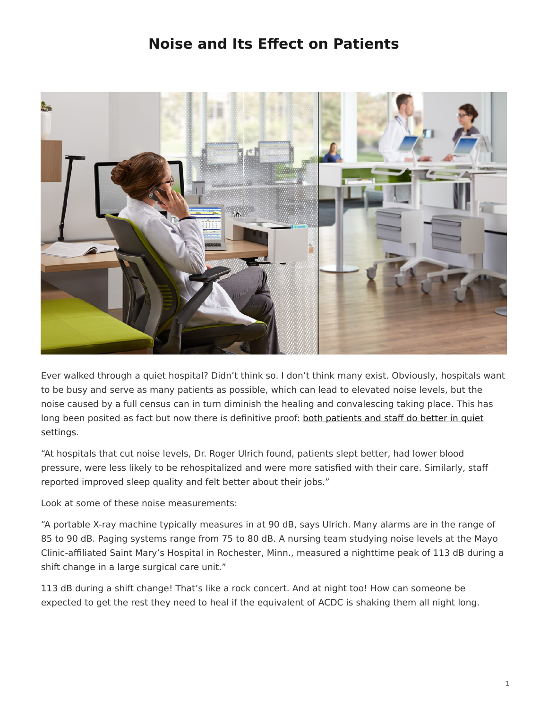## **Noise and Its Effect on Patients**

<span id="page-0-0"></span>

Ever walked through a quiet hospital? Didn't think so. I don't think many exist. Obviously, hospitals want to be busy and serve as many patients as possible, which can lead to elevated noise levels, but the noise caused by a full census can in turn diminish the healing and convalescing taking place. This has long been posited as fact but now there is definitive proof: [both patients and staff do better in quiet](http://www.hfmmagazine.com/hfmmagazine_app/jsp/articledisplay.jsp?dcrpath=HFMMAGAZINE/PubsNewsArticleGen/data/0409HFM_FEA_Cover_Story) [settings](http://www.hfmmagazine.com/hfmmagazine_app/jsp/articledisplay.jsp?dcrpath=HFMMAGAZINE/PubsNewsArticleGen/data/0409HFM_FEA_Cover_Story).

"At hospitals that cut noise levels, Dr. Roger Ulrich found, patients slept better, had lower blood pressure, were less likely to be rehospitalized and were more satisfied with their care. Similarly, staff reported improved sleep quality and felt better about their jobs."

Look at some of these noise measurements:

"A portable X-ray machine typically measures in at 90 dB, says Ulrich. Many alarms are in the range of 85 to 90 dB. Paging systems range from 75 to 80 dB. A nursing team studying noise levels at the Mayo Clinic-affiliated Saint Mary's Hospital in Rochester, Minn., measured a nighttime peak of 113 dB during a shift change in a large surgical care unit."

113 dB during a shift change! That's like a rock concert. And at night too! How can someone be expected to get the rest they need to heal if the equivalent of ACDC is shaking them all night long.